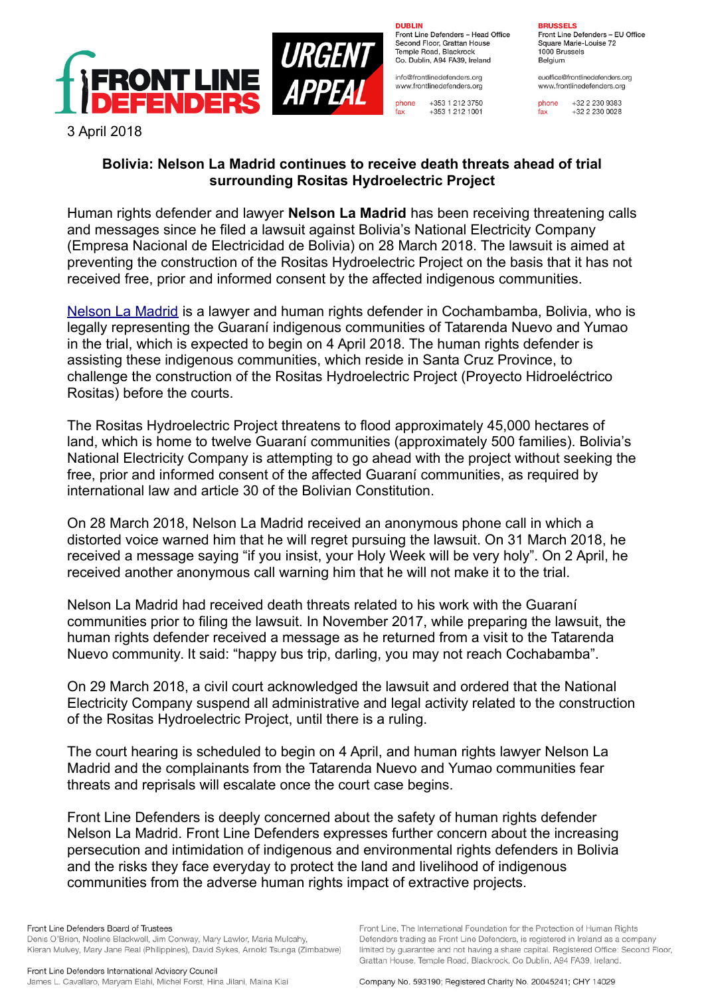

**DURLIN** 

 $fax$ 

Front Line Defenders - Head Office Second Floor, Grattan House Temple Boad, Blackrock Co. Dublin, A94 FA39, Ireland

info@frontlinedefenders.org www.frontlinedefenders.org

+353 1 212 3750 phone +353 1 212 1001

## **BDHCCELC**

Front Line Defenders - EU Office Square Marie-Louise 72 1000 Brussels Belgium

euoffice@frontlinedefenders.org www.frontlinedefenders.org

phone +32 2 230 9383  $fax$  $+3222300028$ 

3 April 2018

## **Bolivia: Nelson La Madrid continues to receive death threats ahead of trial surrounding Rositas Hydroelectric Project**

Human rights defender and lawyer **Nelson La Madrid** has been receiving threatening calls and messages since he filed a lawsuit against Bolivia's National Electricity Company (Empresa Nacional de Electricidad de Bolivia) on 28 March 2018. The lawsuit is aimed at preventing the construction of the Rositas Hydroelectric Project on the basis that it has not received free, prior and informed consent by the affected indigenous communities.

[Nelson La Madrid](https://www.frontlinedefenders.org/en/profile/nelson-la-madrid) is a lawyer and human rights defender in Cochambamba, Bolivia, who is legally representing the Guaraní indigenous communities of Tatarenda Nuevo and Yumao in the trial, which is expected to begin on 4 April 2018. The human rights defender is assisting these indigenous communities, which reside in Santa Cruz Province, to challenge the construction of the Rositas Hydroelectric Project (Proyecto Hidroeléctrico Rositas) before the courts.

The Rositas Hydroelectric Project threatens to flood approximately 45,000 hectares of land, which is home to twelve Guaraní communities (approximately 500 families). Bolivia's National Electricity Company is attempting to go ahead with the project without seeking the free, prior and informed consent of the affected Guaraní communities, as required by international law and article 30 of the Bolivian Constitution.

On 28 March 2018, Nelson La Madrid received an anonymous phone call in which a distorted voice warned him that he will regret pursuing the lawsuit. On 31 March 2018, he received a message saying "if you insist, your Holy Week will be very holy". On 2 April, he received another anonymous call warning him that he will not make it to the trial.

Nelson La Madrid had received death threats related to his work with the Guaraní communities prior to filing the lawsuit. In November 2017, while preparing the lawsuit, the human rights defender received a message as he returned from a visit to the Tatarenda Nuevo community. It said: "happy bus trip, darling, you may not reach Cochabamba".

On 29 March 2018, a civil court acknowledged the lawsuit and ordered that the National Electricity Company suspend all administrative and legal activity related to the construction of the Rositas Hydroelectric Project, until there is a ruling.

The court hearing is scheduled to begin on 4 April, and human rights lawyer Nelson La Madrid and the complainants from the Tatarenda Nuevo and Yumao communities fear threats and reprisals will escalate once the court case begins.

Front Line Defenders is deeply concerned about the safety of human rights defender Nelson La Madrid. Front Line Defenders expresses further concern about the increasing persecution and intimidation of indigenous and environmental rights defenders in Bolivia and the risks they face everyday to protect the land and livelihood of indigenous communities from the adverse human rights impact of extractive projects.

Front Line, The International Foundation for the Protection of Human Rights

Defenders trading as Front Line Defenders, is registered in Ireland as a company

limited by guarantee and not having a share capital. Registered Office: Second Floor,